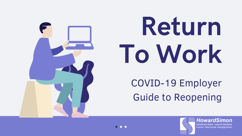





# Return To Work

## COVID-19 Employer Guide to Reopening



**HowardSimon** 

retirement plans • payroll solutions human resources management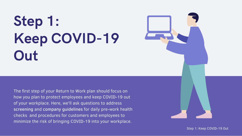# Step 1: Keep COVID-19 Out

The first step of your Return to Work plan should focus on how you plan to protect employees and keep COVID-19 out of your workplace. Here, we'll ask questions to address screening and company guidelines for daily pre-work health checks and procedures for customers and employees to minimize the risk of bringing COVID-19 into your workplace.



Step 1: Keep COVID-19 Out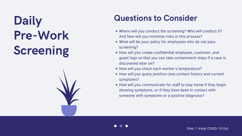# Daily Pre-Work Screening

## Questions to Consider

• How will you query positive case contact history and current

- Where will you conduct the screening? Who will conduct it? And how will you minimize risks in this process? What will be your policy for employees who do not pass
- screening?
- How will you create confidential employee, customer, and guest logs so that you can take containment steps if a case is discovered later on?
- How will you check each worker's temperature?
- symptoms?
- How will you communicate for staff to stay home if they begin showing symptoms, or if they have been in contact with someone with symptoms or a positive diagnosis?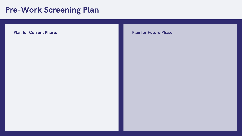facing? List their top 3

#### Dra I Pre-Work Screening Plan

#### Plan for Current Phase:

#### Plan for Future Phase: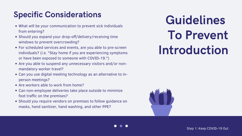# Guidelines To Prevent Introduction



## Specific Considerations

- What will be your communication to prevent sick individuals from entering?
- Should you expand your drop-off/delivery/receiving time windows to prevent overcrowding?
- For scheduled services and events, are you able to pre-screen individuals? (i.e. "Stay home if you are experiencing symptoms or have been exposed to someone with COVID-19.")
- Are you able to suspend any unnecessary visitors and/or nonmandatory worker travel?
- Can you use digital meeting technology as an alternative to inperson meetings?
- Are workers able to work from home?
- Can non-employee deliveries take place outside to minimize foot traffic on the premises?
- Should you require vendors on premises to follow guidance on masks, hand sanitizer, hand washing, and other PPE?



Step 1: Keep COVID-19 Out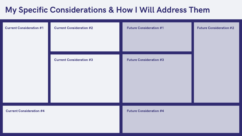## My Specific Considerations & How I Will Address Them

| <b>Current Consideration #1</b> | <b>Current Consideration #2</b> | <b>Future Consideration #1</b> | <b>Future Consideration #2</b> |
|---------------------------------|---------------------------------|--------------------------------|--------------------------------|
|                                 | <b>Current Consideration #3</b> | <b>Future Consideration #3</b> |                                |
| <b>Current Consideration #4</b> |                                 | <b>Future Consideration #4</b> |                                |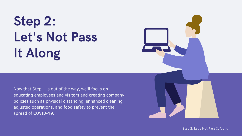# Step 2: Let's Not Pass It Along

Now that Step 1 is out of the way, we'll focus on educating employees and visitors and creating company policies such as physical distancing, enhanced cleaning, adjusted operations, and food safety to prevent the spread of COVID-19.



Step 2: Let's Not Pass It Along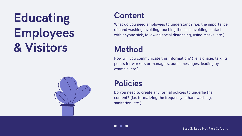# Educating Employees & Visitors



## Content

What do you need employees to understand? (i.e. the importance of hand washing, avoiding touching the face, avoiding contact with anyone sick, following social distancing, using masks, etc.)

## Method

How will you communicate this information? (i.e. signage, talking points for workers or managers, audio messages, leading by example, etc.)

## Policies

Do you need to create any formal policies to underlie the content? (i.e. formalizing the frequency of handwashing, sanitation, etc.)



Step 2: Let's Not Pass It Along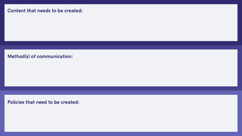#### Content that needs to be created:

Method(s) of communication:

#### Policies that need to be created: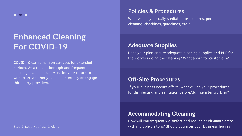## Enhanced Cleaning For COVID-19

COVID-19 can remain on surfaces for extended periods. As a result, thorough and frequent cleaning is an absolute must for your return to work plan, whether you do so internally or engage third party providers.

### Policies & Procedures

What will be your daily sanitation procedures, periodic deep cleaning, checklists, guidelines, etc.?

How will you frequently disinfect and reduce or eliminate areas Step 2: Let's Not Pass It Along with multiple visitors? Should you alter your business hours?

### Adequate Supplies

Does your plan ensure adequate cleaning supplies and PPE for the workers doing the cleaning? What about for customers?

### Off-Site Procedures

If your business occurs offsite, what will be your procedures for disinfecting and sanitation before/during/after working?

### Accommodating Cleaning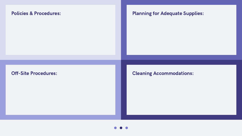Off-Site Procedures: Cleaning Accommodations:

### Policies & Procedures: Policies & Procedures: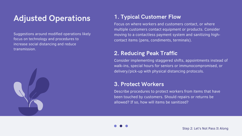## Adjusted Operations

### 1. Typical Customer Flow

Focus on where workers and customers contact, or where multiple customers contact equipment or products. Consider moving to a contactless payment system and sanitizing highcontact items (pens, condiments, terminals).

Describe procedures to protect workers from items that have been touched by customers. Should repairs or returns be allowed? If so, how will items be sanitized?



### 2. Reducing Peak Traffic

Consider implementing staggered shifts, appointments instead of walk-ins, special hours for seniors or immunocompromised, or delivery/pick-up with physical distancing protocols.

### 3. Protect Workers

Suggestions around modified operations likely focus on technology and procedures to increase social distancing and reduce transmission.

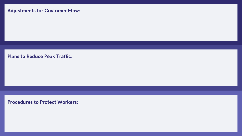### Adjustments for Customer Flow:

Plans to Reduce Peak Traffic:

#### Procedures to Protect Workers: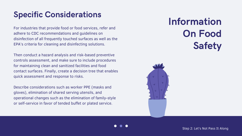## Information On Food Safety



## Specific Considerations

For industries that provide food or food services, refer and adhere to CDC recommendations and guidelines on disinfection of all frequently touched surfaces as well as the EPA's criteria for cleaning and disinfecting solutions.

Then conduct a hazard analysis and risk-based preventive controls assessment, and make sure to include procedures for maintaining clean and sanitized facilities and food contact surfaces. Finally, create a decision tree that enables quick assessment and response to risks.

Describe considerations such as worker PPE (masks and gloves), elimination of shared serving utensils, and operational changes such as the elimination of family-style or self-service in favor of tended buffet or plated service.



Step 2: Let's Not Pass It Along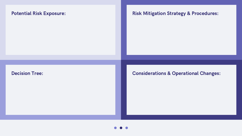Decision Tree: The Considerations & Operational Changes:



#### Potential Risk Exposure: Risk Mitigation Strategy & Procedures: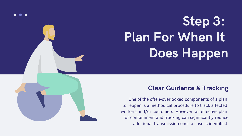# Step 3: Plan For When It Does Happen



One of the often-overlooked components of a plan to reopen is a methodical procedure to track affected workers and/or customers. However, an effective plan for containment and tracking can significantly reduce additional transmission once a case is identified.

## Clear Guidance & Tracking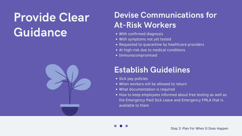# Provide Clear Guidance



- With confirmed diagnosis
- With symptoms not yet tested
- 
- At high-risk due to medical conditions
- Immunocompromised

## Devise Communications for At-Risk Workers

- Sick pay policies
- When workers will be allowed to return
- What documentation is required
- available to them



## Establish Guidelines

• Requested to quarantine by healthcare providers

• How to keep employees informed about free testing as well as

the Emergency Paid Sick Leave and Emergency FMLA that is

Step 3: Plan For When It Does Happen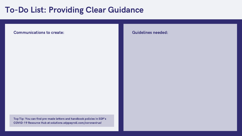facing? List their top 3

#### T<sub>a</sub>n To-Do List: Providing Clear Guidance

Communications to create:

Guidelines needed:

Top Tip: You can find pre-made letters and handbook policies in SDP's COVID-19 Resource Hub at solutions.sdppayroll.com/coronavirus!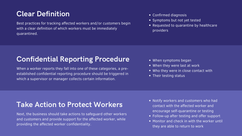## Clear Definition **Clear Confirmed diagnosis**

Best practices for tracking affected workers and/or customers begin with a clear definition of which workers must be immediately quarantined.

## Confidential Reporting Procedure • When symptoms began

• Symptoms but not yet tested • Requested to quarantine by healthcare providers

• When they were last at work Who they were in close contact with • Their testing status

When a worker reports they fall into one of these categories, a preestablished confidential reporting procedure should be triggered in which a supervisor or manager collects certain information.

> • Notify workers and customers who had contact with the affected worker and encourage self-quarantine or testing Follow-up after testing and offer support • Monitor and check in with the worker until they are able to return to work

Next, the business should take actions to safeguard other workers and customers and provide support for the affected worker, while providing the affected worker confidentiality.

## Take Action to Protect Workers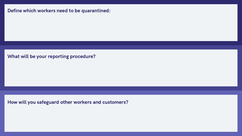#### Define which workers need to be quarantined:

What will be your reporting procedure?

How will you safeguard other workers and customers?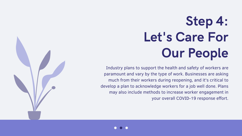# Step 4: Let's Care For Our People



Industry plans to support the health and safety of workers are paramount and vary by the type of work. Businesses are asking much from their workers during reopening, and it's critical to develop a plan to acknowledge workers for a job well done. Plans may also include methods to increase worker engagement in your overall COVID-19 response effort.

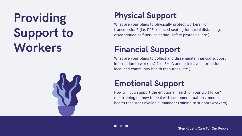# Providing Support to Workers



## Physical Support

What are your plans to physically protect workers from transmission? (i.e. PPE, reduced seating for social distancing, discontinued self-service eating, safety protocols, etc.)

## Financial Support

What are your plans to collect and disseminate financial support information to workers? (i.e. FMLA and sick leave information, local and community health resources, etc.)

## Emotional Support

How will you support the emotional health of your workforce? (i.e. training on how to deal with customer situations, mental health resources available, manager training to support workers)



Step 4: Let's Care For Our People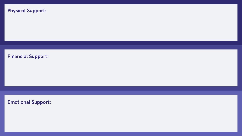### Physical Support:

### Financial Support:

Emotional Support: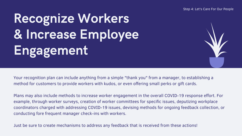# Recognize Workers & Increase Employee Engagement

Your recognition plan can include anything from a simple "thank you" from a manager, to establishing a method for customers to provide workers with kudos, or even offering small perks or gift cards.

Plans may also include methods to increase worker engagement in the overall COVID-19 response effort. For example, through worker surveys, creation of worker committees for specific issues, deputizing workplace coordinators charged with addressing COVID-19 issues, devising methods for ongoing feedback collection, or conducting fore frequent manager check-ins with workers.

Just be sure to create mechanisms to address any feedback that is received from these actions!

#### Step 4: Let's Care For Our People

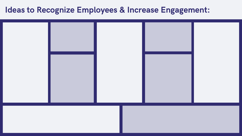## Ideas to Recognize Employees & Increase Engagement:

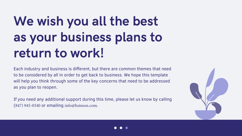# We wish you all the best as your business plans to return to work!

Each industry and business is different, but there are common themes that need to be considered by all in order to get back to business. We hope this template will help you think through some of the key concerns that need to be addressed as you plan to reopen.

If you need any additional support during this time, please let us know by calling (847) 945-0340 or emailing info@hsimon.com.